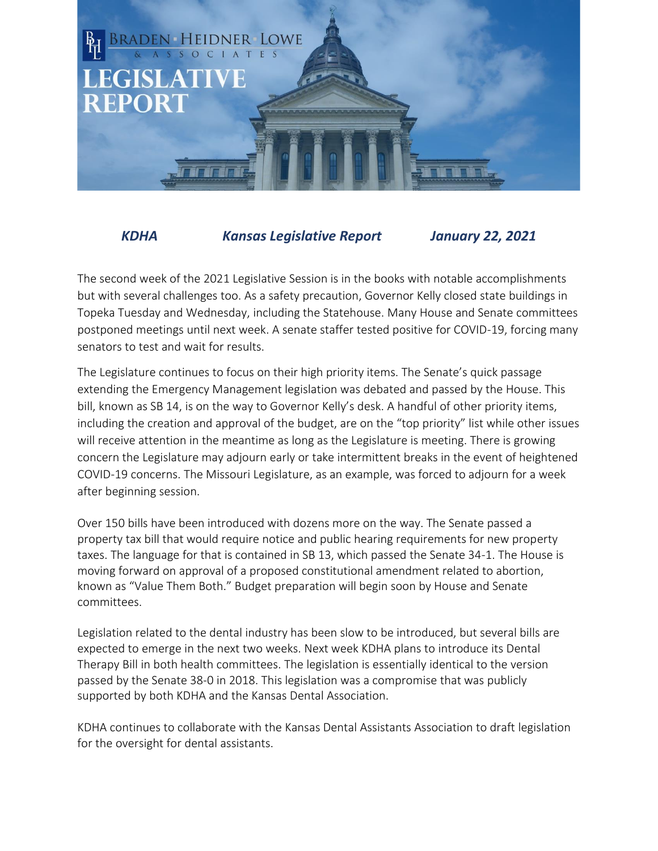

## *KDHA Kansas Legislative Report January 22, 2021*

The second week of the 2021 Legislative Session is in the books with notable accomplishments but with several challenges too. As a safety precaution, Governor Kelly closed state buildings in Topeka Tuesday and Wednesday, including the Statehouse. Many House and Senate committees postponed meetings until next week. A senate staffer tested positive for COVID-19, forcing many senators to test and wait for results.

The Legislature continues to focus on their high priority items. The Senate's quick passage extending the Emergency Management legislation was debated and passed by the House. This bill, known as SB 14, is on the way to Governor Kelly's desk. A handful of other priority items, including the creation and approval of the budget, are on the "top priority" list while other issues will receive attention in the meantime as long as the Legislature is meeting. There is growing concern the Legislature may adjourn early or take intermittent breaks in the event of heightened COVID-19 concerns. The Missouri Legislature, as an example, was forced to adjourn for a week after beginning session.

Over 150 bills have been introduced with dozens more on the way. The Senate passed a property tax bill that would require notice and public hearing requirements for new property taxes. The language for that is contained in SB 13, which passed the Senate 34-1. The House is moving forward on approval of a proposed constitutional amendment related to abortion, known as "Value Them Both." Budget preparation will begin soon by House and Senate committees.

Legislation related to the dental industry has been slow to be introduced, but several bills are expected to emerge in the next two weeks. Next week KDHA plans to introduce its Dental Therapy Bill in both health committees. The legislation is essentially identical to the version passed by the Senate 38-0 in 2018. This legislation was a compromise that was publicly supported by both KDHA and the Kansas Dental Association.

KDHA continues to collaborate with the Kansas Dental Assistants Association to draft legislation for the oversight for dental assistants.